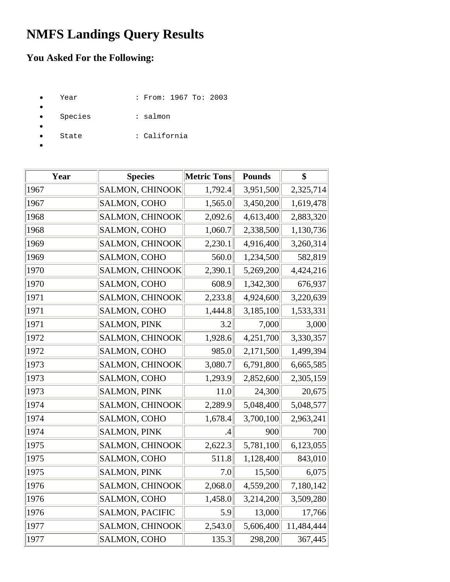## **NMFS Landings Query Results**

## **You Asked For the Following:**

- Year : From: 1967 To: 2003
- Species : salmon
- - State : California
- •

•

| Year | <b>Species</b>         | Metric Tons | <b>Pounds</b> | \$         |
|------|------------------------|-------------|---------------|------------|
| 1967 | SALMON, CHINOOK        | 1,792.4     | 3,951,500     | 2,325,714  |
| 1967 | SALMON, COHO           | 1,565.0     | 3,450,200     | 1,619,478  |
| 1968 | <b>SALMON, CHINOOK</b> | 2,092.6     | 4,613,400     | 2,883,320  |
| 1968 | SALMON, COHO           | 1,060.7     | 2,338,500     | 1,130,736  |
| 1969 | <b>SALMON, CHINOOK</b> | 2,230.1     | 4,916,400     | 3,260,314  |
| 1969 | SALMON, COHO           | 560.0       | 1,234,500     | 582,819    |
| 1970 | <b>SALMON, CHINOOK</b> | 2,390.1     | 5,269,200     | 4,424,216  |
| 1970 | SALMON, COHO           | 608.9       | 1,342,300     | 676,937    |
| 1971 | <b>SALMON, CHINOOK</b> | 2,233.8     | 4,924,600     | 3,220,639  |
| 1971 | SALMON, COHO           | 1,444.8     | 3,185,100     | 1,533,331  |
| 1971 | <b>SALMON, PINK</b>    | 3.2         | 7,000         | 3,000      |
| 1972 | <b>SALMON, CHINOOK</b> | 1,928.6     | 4,251,700     | 3,330,357  |
| 1972 | SALMON, COHO           | 985.0       | 2,171,500     | 1,499,394  |
| 1973 | <b>SALMON, CHINOOK</b> | 3,080.7     | 6,791,800     | 6,665,585  |
| 1973 | SALMON, COHO           | 1,293.9     | 2,852,600     | 2,305,159  |
| 1973 | <b>SALMON, PINK</b>    | 11.0        | 24,300        | 20,675     |
| 1974 | <b>SALMON, CHINOOK</b> | 2,289.9     | 5,048,400     | 5,048,577  |
| 1974 | SALMON, COHO           | 1,678.4     | 3,700,100     | 2,963,241  |
| 1974 | <b>SALMON, PINK</b>    | .4          | 900           | 700        |
| 1975 | SALMON, CHINOOK        | 2,622.3     | 5,781,100     | 6,123,055  |
| 1975 | SALMON, COHO           | 511.8       | 1,128,400     | 843,010    |
| 1975 | <b>SALMON, PINK</b>    | 7.0         | 15,500        | 6,075      |
| 1976 | SALMON, CHINOOK        | 2,068.0     | 4,559,200     | 7,180,142  |
| 1976 | SALMON, COHO           | 1,458.0     | 3,214,200     | 3,509,280  |
| 1976 | <b>SALMON, PACIFIC</b> | 5.9         | 13,000        | 17,766     |
| 1977 | <b>SALMON, CHINOOK</b> | 2,543.0     | 5,606,400     | 11,484,444 |
| 1977 | SALMON, COHO           | 135.3       | 298,200       | 367,445    |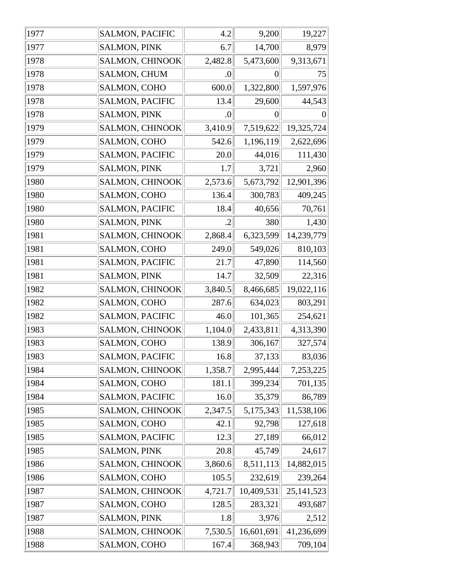| 1977 | <b>SALMON, PACIFIC</b> | 4.2              | 9,200            | 19,227          |
|------|------------------------|------------------|------------------|-----------------|
| 1977 | <b>SALMON, PINK</b>    | 6.7              | 14,700           | 8,979           |
| 1978 | SALMON, CHINOOK        | 2,482.8          | 5,473,600        | 9,313,671       |
| 1978 | <b>SALMON, CHUM</b>    | $\boldsymbol{0}$ | $\boldsymbol{0}$ | 75              |
| 1978 | SALMON, COHO           | 600.0            | 1,322,800        | 1,597,976       |
| 1978 | SALMON, PACIFIC        | 13.4             | 29,600           | 44,543          |
| 1978 | <b>SALMON, PINK</b>    | $\vert 0 \vert$  | $\overline{0}$   | $\vert 0 \vert$ |
| 1979 | <b>SALMON, CHINOOK</b> | 3,410.9          | 7,519,622        | 19,325,724      |
| 1979 | SALMON, COHO           | 542.6            | 1,196,119        | 2,622,696       |
| 1979 | <b>SALMON, PACIFIC</b> | 20.0             | 44,016           | 111,430         |
| 1979 | <b>SALMON, PINK</b>    | 1.7              | 3,721            | 2,960           |
| 1980 | <b>SALMON, CHINOOK</b> | 2,573.6          | 5,673,792        | 12,901,396      |
| 1980 | SALMON, COHO           | 136.4            | 300,783          | 409,245         |
| 1980 | SALMON, PACIFIC        | 18.4             | 40,656           | 70,761          |
| 1980 | <b>SALMON, PINK</b>    | $\cdot$          | 380              | 1,430           |
| 1981 | <b>SALMON, CHINOOK</b> | 2,868.4          | 6,323,599        | 14,239,779      |
| 1981 | SALMON, COHO           | 249.0            | 549,026          | 810,103         |
| 1981 | SALMON, PACIFIC        | 21.7             | 47,890           | 114,560         |
| 1981 | <b>SALMON, PINK</b>    | 14.7             | 32,509           | 22,316          |
| 1982 | <b>SALMON, CHINOOK</b> | 3,840.5          | 8,466,685        | 19,022,116      |
| 1982 | SALMON, COHO           | 287.6            | 634,023          | 803,291         |
| 1982 | <b>SALMON, PACIFIC</b> | 46.0             | 101,365          | 254,621         |
| 1983 | SALMON, CHINOOK        | 1,104.0          | 2,433,811        | 4,313,390       |
| 1983 | SALMON, COHO           | 138.9            | 306,167          | 327,574         |
| 1983 | SALMON, PACIFIC        | 16.8             | 37,133           | 83,036          |
| 1984 | <b>SALMON, CHINOOK</b> | 1,358.7          | 2,995,444        | 7,253,225       |
| 1984 | SALMON, COHO           | 181.1            | 399,234          | 701,135         |
| 1984 | <b>SALMON, PACIFIC</b> | 16.0             | 35,379           | 86,789          |
| 1985 | <b>SALMON, CHINOOK</b> | 2,347.5          | 5,175,343        | 11,538,106      |
| 1985 | SALMON, COHO           | 42.1             | 92,798           | 127,618         |
| 1985 | SALMON, PACIFIC        | 12.3             | 27,189           | 66,012          |
| 1985 | <b>SALMON, PINK</b>    | 20.8             | 45,749           | 24,617          |
| 1986 | SALMON, CHINOOK        | 3,860.6          | 8,511,113        | 14,882,015      |
| 1986 | SALMON, COHO           | 105.5            | 232,619          | 239,264         |
| 1987 | SALMON, CHINOOK        | 4,721.7          | 10,409,531       | 25, 141, 523    |
| 1987 | SALMON, COHO           | 128.5            | 283,321          | 493,687         |
| 1987 | <b>SALMON, PINK</b>    | 1.8              | 3,976            | 2,512           |
| 1988 | SALMON, CHINOOK        | 7,530.5          | 16,601,691       | 41,236,699      |
| 1988 | SALMON, COHO           | 167.4            | 368,943          | 709,104         |